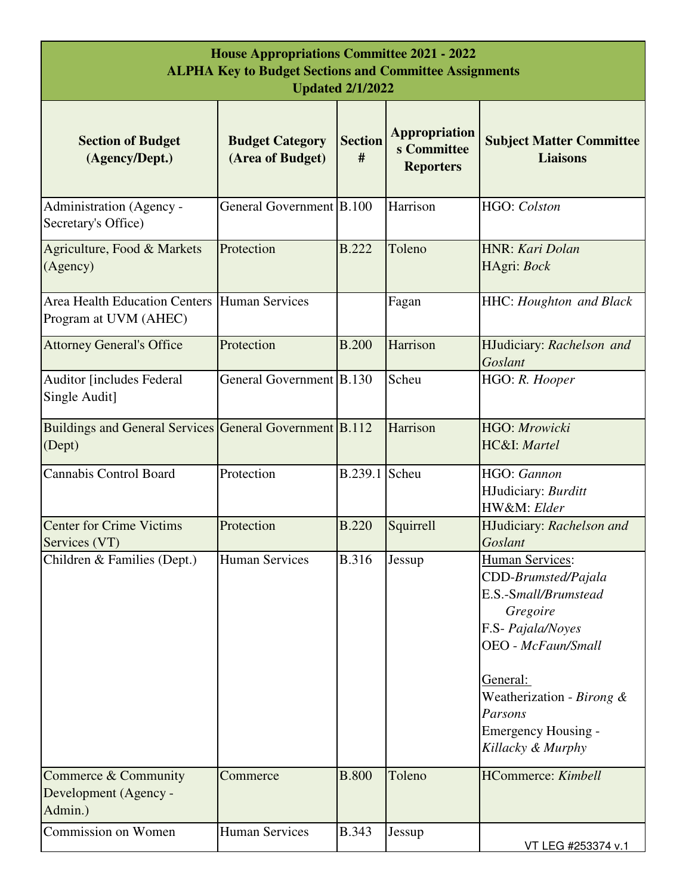| <b>House Appropriations Committee 2021 - 2022</b><br><b>ALPHA Key to Budget Sections and Committee Assignments</b><br><b>Updated 2/1/2022</b> |                                            |                     |                                                         |                                                                                                                                                                                                                                            |
|-----------------------------------------------------------------------------------------------------------------------------------------------|--------------------------------------------|---------------------|---------------------------------------------------------|--------------------------------------------------------------------------------------------------------------------------------------------------------------------------------------------------------------------------------------------|
| <b>Section of Budget</b><br>(Agency/Dept.)                                                                                                    | <b>Budget Category</b><br>(Area of Budget) | <b>Section</b><br># | <b>Appropriation</b><br>s Committee<br><b>Reporters</b> | <b>Subject Matter Committee</b><br><b>Liaisons</b>                                                                                                                                                                                         |
| Administration (Agency -<br>Secretary's Office)                                                                                               | General Government B.100                   |                     | Harrison                                                | HGO: Colston                                                                                                                                                                                                                               |
| Agriculture, Food & Markets<br>(Agency)                                                                                                       | Protection                                 | <b>B.222</b>        | Toleno                                                  | HNR: Kari Dolan<br>HAgri: Bock                                                                                                                                                                                                             |
| Area Health Education Centers Human Services<br>Program at UVM (AHEC)                                                                         |                                            |                     | Fagan                                                   | <b>HHC:</b> Houghton and Black                                                                                                                                                                                                             |
| <b>Attorney General's Office</b>                                                                                                              | Protection                                 | <b>B.200</b>        | Harrison                                                | HJudiciary: Rachelson and<br>Goslant                                                                                                                                                                                                       |
| <b>Auditor [includes Federal</b><br>Single Audit]                                                                                             | General Government B.130                   |                     | Scheu                                                   | HGO: R. Hooper                                                                                                                                                                                                                             |
| Buildings and General Services General Government B.112<br>(Dept)                                                                             |                                            |                     | Harrison                                                | HGO: Mrowicki<br>HC&I: Martel                                                                                                                                                                                                              |
| <b>Cannabis Control Board</b>                                                                                                                 | Protection                                 | B.239.1             | Scheu                                                   | HGO: Gannon<br>HJudiciary: Burditt<br>HW&M: Elder                                                                                                                                                                                          |
| <b>Center for Crime Victims</b><br>Services (VT)                                                                                              | Protection                                 | <b>B.220</b>        | Squirrell                                               | HJudiciary: Rachelson and<br>Goslant                                                                                                                                                                                                       |
| Children & Families (Dept.)                                                                                                                   | <b>Human Services</b>                      | <b>B.316</b>        | Jessup                                                  | <b>Human Services:</b><br>CDD-Brumsted/Pajala<br>E.S.-Small/Brumstead<br>Gregoire<br>F.S- Pajala/Noyes<br><b>OEO</b> - McFaun/Small<br>General:<br>Weatherization - Birong &<br>Parsons<br><b>Emergency Housing -</b><br>Killacky & Murphy |
| Commerce & Community<br>Development (Agency -<br>Admin.)                                                                                      | Commerce                                   | <b>B.800</b>        | Toleno                                                  | <b>HCommerce:</b> Kimbell                                                                                                                                                                                                                  |
| Commission on Women                                                                                                                           | <b>Human Services</b>                      | <b>B.343</b>        | Jessup                                                  | VT LEG #253374 v.1                                                                                                                                                                                                                         |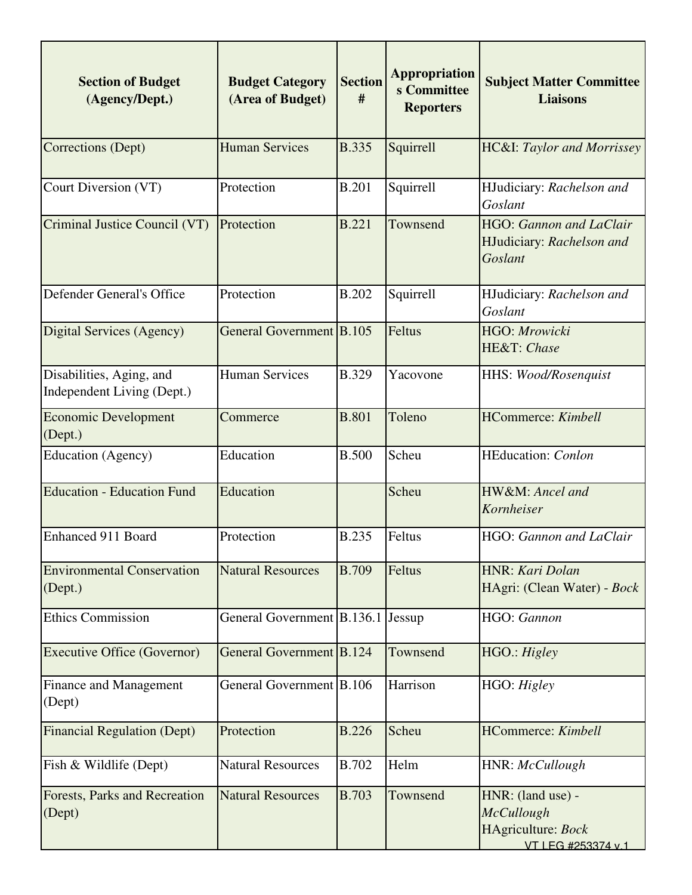| <b>Section of Budget</b><br>(Agency/Dept.)             | <b>Budget Category</b><br>(Area of Budget) | <b>Section</b><br># | <b>Appropriation</b><br>s Committee<br><b>Reporters</b> | <b>Subject Matter Committee</b><br><b>Liaisons</b>                          |
|--------------------------------------------------------|--------------------------------------------|---------------------|---------------------------------------------------------|-----------------------------------------------------------------------------|
| Corrections (Dept)                                     | <b>Human Services</b>                      | <b>B.335</b>        | Squirrell                                               | <b>HC&amp;I</b> : Taylor and Morrissey                                      |
| Court Diversion (VT)                                   | Protection                                 | <b>B.201</b>        | Squirrell                                               | HJudiciary: Rachelson and<br>Goslant                                        |
| Criminal Justice Council (VT)                          | Protection                                 | <b>B.221</b>        | Townsend                                                | <b>HGO:</b> Gannon and LaClair<br>HJudiciary: Rachelson and<br>Goslant      |
| Defender General's Office                              | Protection                                 | <b>B.202</b>        | Squirrell                                               | HJudiciary: Rachelson and<br>Goslant                                        |
| Digital Services (Agency)                              | General Government B.105                   |                     | Feltus                                                  | HGO: Mrowicki<br>HE&T: Chase                                                |
| Disabilities, Aging, and<br>Independent Living (Dept.) | <b>Human Services</b>                      | <b>B.329</b>        | Yacovone                                                | HHS: Wood/Rosenquist                                                        |
| <b>Economic Development</b><br>(Dept.)                 | Commerce                                   | <b>B.801</b>        | Toleno                                                  | <b>HCommerce:</b> Kimbell                                                   |
| Education (Agency)                                     | Education                                  | <b>B.500</b>        | Scheu                                                   | <b>HEducation:</b> Conlon                                                   |
| <b>Education - Education Fund</b>                      | Education                                  |                     | Scheu                                                   | HW&M: Ancel and<br>Kornheiser                                               |
| <b>Enhanced 911 Board</b>                              | Protection                                 | <b>B.235</b>        | Feltus                                                  | HGO: Gannon and LaClair                                                     |
| <b>Environmental Conservation</b><br>(Dept.)           | <b>Natural Resources</b>                   | <b>B.709</b>        | Feltus                                                  | HNR: Kari Dolan<br>HAgri: (Clean Water) - Bock                              |
| <b>Ethics Commission</b>                               | General Government B.136.1                 |                     | Jessup                                                  | HGO: Gannon                                                                 |
| <b>Executive Office (Governor)</b>                     | General Government B.124                   |                     | Townsend                                                | HGO.: Higley                                                                |
| <b>Finance and Management</b><br>(Dept)                | General Government B.106                   |                     | Harrison                                                | HGO: Higley                                                                 |
| <b>Financial Regulation (Dept)</b>                     | Protection                                 | <b>B.226</b>        | Scheu                                                   | HCommerce: Kimbell                                                          |
| Fish & Wildlife (Dept)                                 | <b>Natural Resources</b>                   | <b>B.702</b>        | Helm                                                    | HNR: McCullough                                                             |
| Forests, Parks and Recreation<br>(Dept)                | <b>Natural Resources</b>                   | <b>B.703</b>        | Townsend                                                | HNR: (land use) -<br>McCullough<br>HAgriculture: Bock<br>VT LEG #253374 v.1 |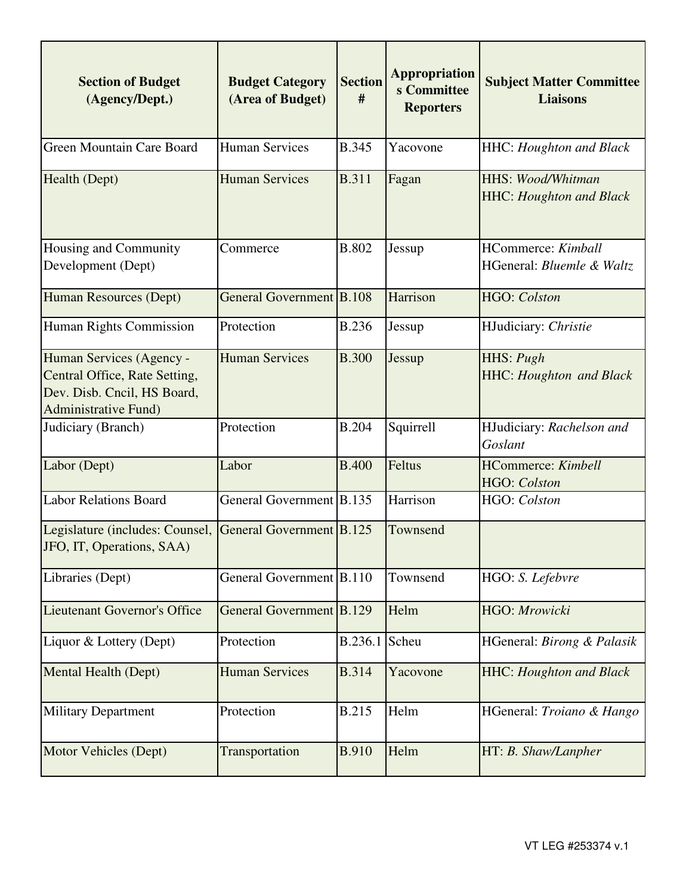| <b>Section of Budget</b><br>(Agency/Dept.)                                                                               | <b>Budget Category</b><br>(Area of Budget) | <b>Section</b><br># | <b>Appropriation</b><br>s Committee<br><b>Reporters</b> | <b>Subject Matter Committee</b><br><b>Liaisons</b>         |
|--------------------------------------------------------------------------------------------------------------------------|--------------------------------------------|---------------------|---------------------------------------------------------|------------------------------------------------------------|
| Green Mountain Care Board                                                                                                | <b>Human Services</b>                      | <b>B.345</b>        | Yacovone                                                | <b>HHC:</b> Houghton and Black                             |
| Health (Dept)                                                                                                            | <b>Human Services</b>                      | <b>B.311</b>        | Fagan                                                   | <b>HHS: Wood/Whitman</b><br><b>HHC:</b> Houghton and Black |
| Housing and Community<br>Development (Dept)                                                                              | Commerce                                   | <b>B.802</b>        | Jessup                                                  | <b>HCommerce:</b> Kimball<br>HGeneral: Bluemle & Waltz     |
| Human Resources (Dept)                                                                                                   | General Government B.108                   |                     | Harrison                                                | <b>HGO:</b> Colston                                        |
| Human Rights Commission                                                                                                  | Protection                                 | <b>B.236</b>        | Jessup                                                  | HJudiciary: Christie                                       |
| Human Services (Agency -<br>Central Office, Rate Setting,<br>Dev. Disb. Cncil, HS Board,<br><b>Administrative Fund</b> ) | <b>Human Services</b>                      | <b>B.300</b>        | Jessup                                                  | HHS: Pugh<br><b>HHC: Houghton and Black</b>                |
| Judiciary (Branch)                                                                                                       | Protection                                 | <b>B.204</b>        | Squirrell                                               | HJudiciary: Rachelson and<br>Goslant                       |
| Labor (Dept)                                                                                                             | Labor                                      | <b>B.400</b>        | Feltus                                                  | <b>HCommerce:</b> Kimbell<br>HGO: Colston                  |
| <b>Labor Relations Board</b>                                                                                             | General Government B.135                   |                     | Harrison                                                | HGO: Colston                                               |
| Legislature (includes: Counsel,<br>JFO, IT, Operations, SAA)                                                             | General Government B.125                   |                     | Townsend                                                |                                                            |
| Libraries (Dept)                                                                                                         | General Government B.110                   |                     | Townsend                                                | HGO: S. Lefebvre                                           |
| Lieutenant Governor's Office                                                                                             | General Government B.129                   |                     | Helm                                                    | HGO: Mrowicki                                              |
| Liquor & Lottery (Dept)                                                                                                  | Protection                                 | B.236.1             | Scheu                                                   | HGeneral: Birong & Palasik                                 |
| Mental Health (Dept)                                                                                                     | <b>Human Services</b>                      | <b>B.314</b>        | Yacovone                                                | <b>HHC: Houghton and Black</b>                             |
| <b>Military Department</b>                                                                                               | Protection                                 | <b>B.215</b>        | Helm                                                    | HGeneral: Troiano & Hango                                  |
| Motor Vehicles (Dept)                                                                                                    | Transportation                             | <b>B.910</b>        | Helm                                                    | HT: B. Shaw/Lanpher                                        |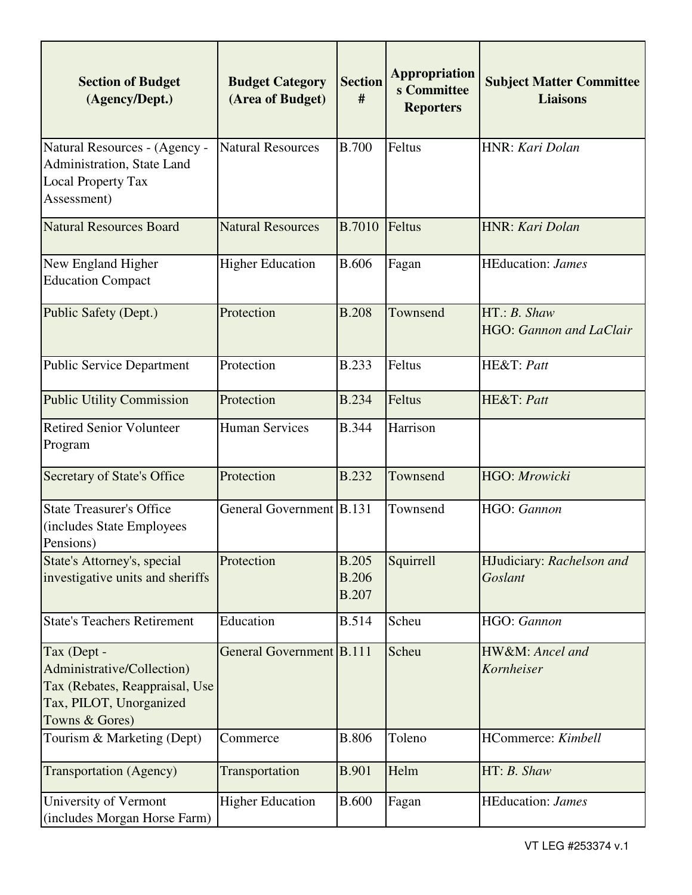| <b>Section of Budget</b><br>(Agency/Dept.)                                                                               | <b>Budget Category</b><br>(Area of Budget) | <b>Section</b><br>#                          | <b>Appropriation</b><br>s Committee<br><b>Reporters</b> | <b>Subject Matter Committee</b><br><b>Liaisons</b> |
|--------------------------------------------------------------------------------------------------------------------------|--------------------------------------------|----------------------------------------------|---------------------------------------------------------|----------------------------------------------------|
| Natural Resources - (Agency -<br>Administration, State Land<br><b>Local Property Tax</b><br>Assessment)                  | <b>Natural Resources</b>                   | <b>B.700</b>                                 | Feltus                                                  | HNR: Kari Dolan                                    |
| <b>Natural Resources Board</b>                                                                                           | <b>Natural Resources</b>                   | <b>B.7010</b>                                | Feltus                                                  | HNR: Kari Dolan                                    |
| New England Higher<br><b>Education Compact</b>                                                                           | <b>Higher Education</b>                    | <b>B.606</b>                                 | Fagan                                                   | <b>HEducation:</b> James                           |
| Public Safety (Dept.)                                                                                                    | Protection                                 | <b>B.208</b>                                 | Townsend                                                | HT: B. Shaw<br>HGO: Gannon and LaClair             |
| <b>Public Service Department</b>                                                                                         | Protection                                 | <b>B.233</b>                                 | Feltus                                                  | HE&T: Patt                                         |
| <b>Public Utility Commission</b>                                                                                         | Protection                                 | <b>B.234</b>                                 | Feltus                                                  | HE&T: Patt                                         |
| <b>Retired Senior Volunteer</b><br>Program                                                                               | <b>Human Services</b>                      | <b>B.344</b>                                 | Harrison                                                |                                                    |
| <b>Secretary of State's Office</b>                                                                                       | Protection                                 | <b>B.232</b>                                 | Townsend                                                | HGO: Mrowicki                                      |
| <b>State Treasurer's Office</b><br>(includes State Employees<br>Pensions)                                                | General Government B.131                   |                                              | Townsend                                                | HGO: Gannon                                        |
| State's Attorney's, special<br>investigative units and sheriffs                                                          | Protection                                 | <b>B.205</b><br><b>B.206</b><br><b>B.207</b> | Squirrell                                               | HJudiciary: Rachelson and<br>Goslant               |
| <b>State's Teachers Retirement</b>                                                                                       | Education                                  | <b>B.514</b>                                 | Scheu                                                   | HGO: Gannon                                        |
| Tax (Dept -<br>Administrative/Collection)<br>Tax (Rebates, Reappraisal, Use<br>Tax, PILOT, Unorganized<br>Towns & Gores) | General Government B.111                   |                                              | Scheu                                                   | HW&M: Ancel and<br>Kornheiser                      |
| Tourism & Marketing (Dept)                                                                                               | Commerce                                   | <b>B.806</b>                                 | Toleno                                                  | HCommerce: Kimbell                                 |
| <b>Transportation</b> (Agency)                                                                                           | Transportation                             | <b>B.901</b>                                 | Helm                                                    | HT: B. Shaw                                        |
| University of Vermont<br>(includes Morgan Horse Farm)                                                                    | <b>Higher Education</b>                    | <b>B.600</b>                                 | Fagan                                                   | <b>HEducation:</b> James                           |